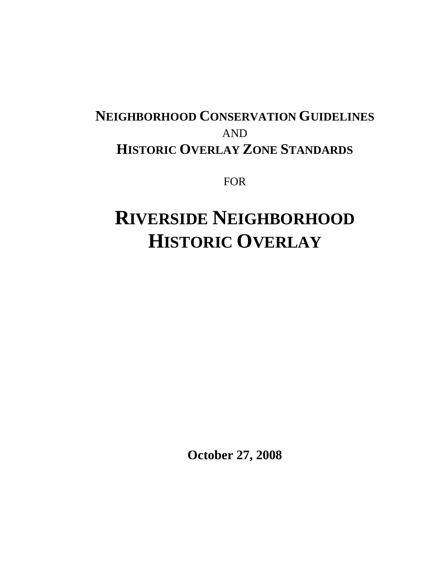# **NEIGHBORHOOD CONSERVATION GUIDELINES** AND **HISTORIC OVERLAY ZONE STANDARDS**

FOR

# **RIVERSIDE NEIGHBORHOOD HISTORIC OVERLAY**

**October 27, 2008**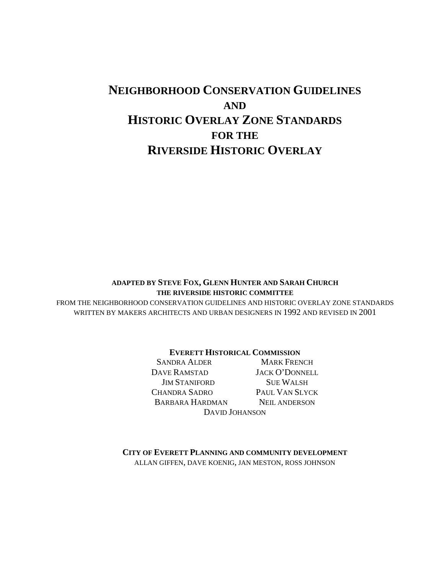# **NEIGHBORHOOD CONSERVATION GUIDELINES AND HISTORIC OVERLAY ZONE STANDARDS FOR THE RIVERSIDE HISTORIC OVERLAY**

#### **ADAPTED BY STEVE FOX, GLENN HUNTER AND SARAH CHURCH THE RIVERSIDE HISTORIC COMMITTEE**

FROM THE NEIGHBORHOOD CONSERVATION GUIDELINES AND HISTORIC OVERLAY ZONE STANDARDS WRITTEN BY MAKERS ARCHITECTS AND URBAN DESIGNERS IN 1992 AND REVISED IN 2001

#### **EVERETT HISTORICAL COMMISSION**

SANDRA ALDER MARK FRENCH DAVE RAMSTAD JACK O'DONNELL **JIM STANIFORD SUE WALSH** CHANDRA SADRO PAUL VAN SLYCK BARBARA HARDMAN NEIL ANDERSON DAVID JOHANSON

**CITY OF EVERETT PLANNING AND COMMUNITY DEVELOPMENT** ALLAN GIFFEN, DAVE KOENIG, JAN MESTON, ROSS JOHNSON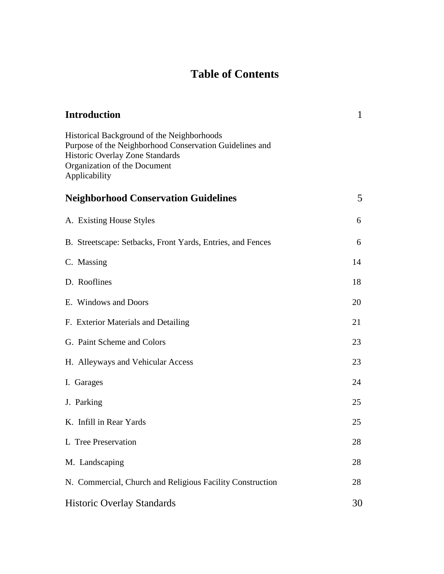# **Table of Contents**

| <b>Introduction</b>                                                                                                                                                                       | $\mathbf 1$ |
|-------------------------------------------------------------------------------------------------------------------------------------------------------------------------------------------|-------------|
| Historical Background of the Neighborhoods<br>Purpose of the Neighborhood Conservation Guidelines and<br>Historic Overlay Zone Standards<br>Organization of the Document<br>Applicability |             |
| <b>Neighborhood Conservation Guidelines</b>                                                                                                                                               | 5           |
| A. Existing House Styles                                                                                                                                                                  | 6           |
| B. Streetscape: Setbacks, Front Yards, Entries, and Fences                                                                                                                                | 6           |
| C. Massing                                                                                                                                                                                | 14          |
| D. Rooflines                                                                                                                                                                              | 18          |
| E. Windows and Doors                                                                                                                                                                      | 20          |
| F. Exterior Materials and Detailing                                                                                                                                                       | 21          |
| G. Paint Scheme and Colors                                                                                                                                                                | 23          |
| H. Alleyways and Vehicular Access                                                                                                                                                         | 23          |
| I. Garages                                                                                                                                                                                | 24          |
| J. Parking                                                                                                                                                                                | 25          |
| K. Infill in Rear Yards                                                                                                                                                                   | 25          |
| L Tree Preservation                                                                                                                                                                       | 28          |
| M. Landscaping                                                                                                                                                                            | 28          |
| N. Commercial, Church and Religious Facility Construction                                                                                                                                 | 28          |
| <b>Historic Overlay Standards</b>                                                                                                                                                         | 30          |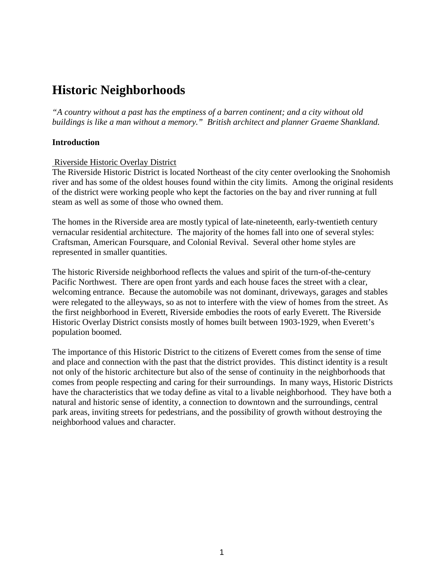# **Historic Neighborhoods**

*"A country without a past has the emptiness of a barren continent; and a city without old buildings is like a man without a memory." British architect and planner Graeme Shankland.*

#### **Introduction**

#### Riverside Historic Overlay District

The Riverside Historic District is located Northeast of the city center overlooking the Snohomish river and has some of the oldest houses found within the city limits. Among the original residents of the district were working people who kept the factories on the bay and river running at full steam as well as some of those who owned them.

The homes in the Riverside area are mostly typical of late-nineteenth, early-twentieth century vernacular residential architecture. The majority of the homes fall into one of several styles: Craftsman, American Foursquare, and Colonial Revival. Several other home styles are represented in smaller quantities.

The historic Riverside neighborhood reflects the values and spirit of the turn-of-the-century Pacific Northwest. There are open front yards and each house faces the street with a clear, welcoming entrance. Because the automobile was not dominant, driveways, garages and stables were relegated to the alleyways, so as not to interfere with the view of homes from the street. As the first neighborhood in Everett, Riverside embodies the roots of early Everett. The Riverside Historic Overlay District consists mostly of homes built between 1903-1929, when Everett's population boomed.

The importance of this Historic District to the citizens of Everett comes from the sense of time and place and connection with the past that the district provides. This distinct identity is a result not only of the historic architecture but also of the sense of continuity in the neighborhoods that comes from people respecting and caring for their surroundings. In many ways, Historic Districts have the characteristics that we today define as vital to a livable neighborhood. They have both a natural and historic sense of identity, a connection to downtown and the surroundings, central park areas, inviting streets for pedestrians, and the possibility of growth without destroying the neighborhood values and character.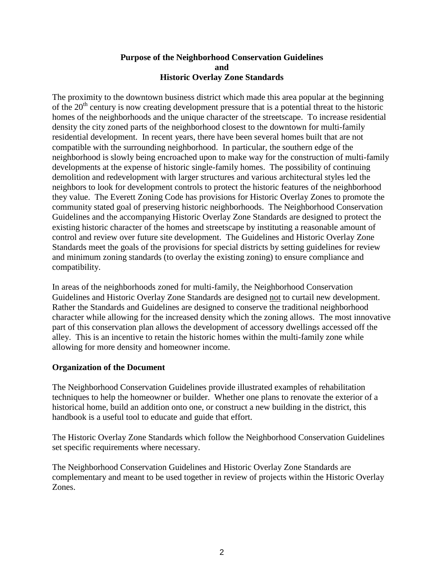#### **Purpose of the Neighborhood Conservation Guidelines and Historic Overlay Zone Standards**

The proximity to the downtown business district which made this area popular at the beginning of the  $20<sup>th</sup>$  century is now creating development pressure that is a potential threat to the historic homes of the neighborhoods and the unique character of the streetscape. To increase residential density the city zoned parts of the neighborhood closest to the downtown for multi-family residential development. In recent years, there have been several homes built that are not compatible with the surrounding neighborhood. In particular, the southern edge of the neighborhood is slowly being encroached upon to make way for the construction of multi-family developments at the expense of historic single-family homes. The possibility of continuing demolition and redevelopment with larger structures and various architectural styles led the neighbors to look for development controls to protect the historic features of the neighborhood they value. The Everett Zoning Code has provisions for Historic Overlay Zones to promote the community stated goal of preserving historic neighborhoods. The Neighborhood Conservation Guidelines and the accompanying Historic Overlay Zone Standards are designed to protect the existing historic character of the homes and streetscape by instituting a reasonable amount of control and review over future site development. The Guidelines and Historic Overlay Zone Standards meet the goals of the provisions for special districts by setting guidelines for review and minimum zoning standards (to overlay the existing zoning) to ensure compliance and compatibility.

In areas of the neighborhoods zoned for multi-family, the Neighborhood Conservation Guidelines and Historic Overlay Zone Standards are designed not to curtail new development. Rather the Standards and Guidelines are designed to conserve the traditional neighborhood character while allowing for the increased density which the zoning allows. The most innovative part of this conservation plan allows the development of accessory dwellings accessed off the alley. This is an incentive to retain the historic homes within the multi-family zone while allowing for more density and homeowner income.

# **Organization of the Document**

The Neighborhood Conservation Guidelines provide illustrated examples of rehabilitation techniques to help the homeowner or builder. Whether one plans to renovate the exterior of a historical home, build an addition onto one, or construct a new building in the district, this handbook is a useful tool to educate and guide that effort.

The Historic Overlay Zone Standards which follow the Neighborhood Conservation Guidelines set specific requirements where necessary.

The Neighborhood Conservation Guidelines and Historic Overlay Zone Standards are complementary and meant to be used together in review of projects within the Historic Overlay Zones.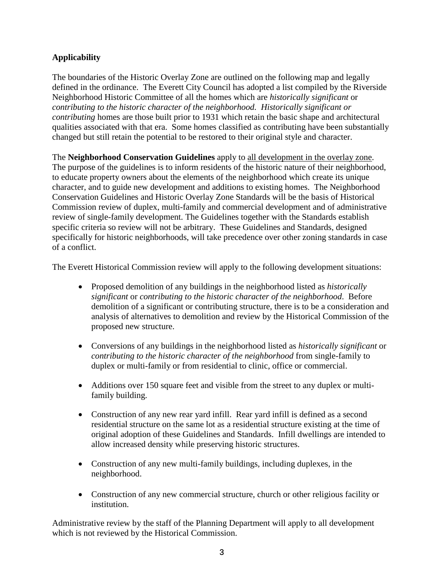# **Applicability**

The boundaries of the Historic Overlay Zone are outlined on the following map and legally defined in the ordinance. The Everett City Council has adopted a list compiled by the Riverside Neighborhood Historic Committee of all the homes which are *historically significant* or *contributing to the historic character of the neighborhood. Historically significant or contributing* homes are those built prior to 1931 which retain the basic shape and architectural qualities associated with that era. Some homes classified as contributing have been substantially changed but still retain the potential to be restored to their original style and character.

The **Neighborhood Conservation Guidelines** apply to all development in the overlay zone. The purpose of the guidelines is to inform residents of the historic nature of their neighborhood, to educate property owners about the elements of the neighborhood which create its unique character, and to guide new development and additions to existing homes. The Neighborhood Conservation Guidelines and Historic Overlay Zone Standards will be the basis of Historical Commission review of duplex, multi-family and commercial development and of administrative review of single-family development. The Guidelines together with the Standards establish specific criteria so review will not be arbitrary. These Guidelines and Standards, designed specifically for historic neighborhoods, will take precedence over other zoning standards in case of a conflict.

The Everett Historical Commission review will apply to the following development situations:

- Proposed demolition of any buildings in the neighborhood listed as *historically significant* or *contributing to the historic character of the neighborhood*. Before demolition of a significant or contributing structure, there is to be a consideration and analysis of alternatives to demolition and review by the Historical Commission of the proposed new structure.
- Conversions of any buildings in the neighborhood listed as *historically significant* or *contributing to the historic character of the neighborhood* from single-family to duplex or multi-family or from residential to clinic, office or commercial.
- Additions over 150 square feet and visible from the street to any duplex or multifamily building.
- Construction of any new rear yard infill. Rear yard infill is defined as a second residential structure on the same lot as a residential structure existing at the time of original adoption of these Guidelines and Standards. Infill dwellings are intended to allow increased density while preserving historic structures.
- Construction of any new multi-family buildings, including duplexes, in the neighborhood.
- Construction of any new commercial structure, church or other religious facility or institution.

Administrative review by the staff of the Planning Department will apply to all development which is not reviewed by the Historical Commission.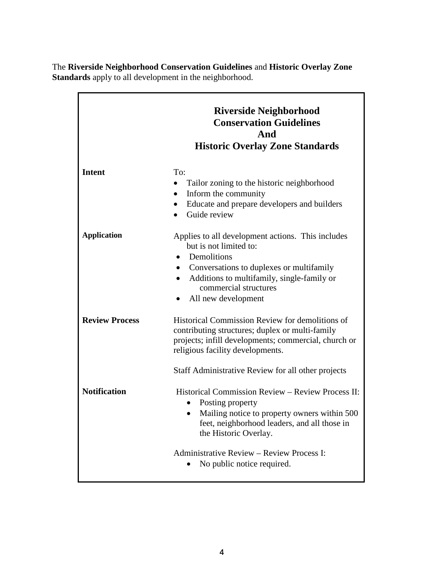The **Riverside Neighborhood Conservation Guidelines** and **Historic Overlay Zone Standards** apply to all development in the neighborhood.

|                       | <b>Riverside Neighborhood</b><br><b>Conservation Guidelines</b><br>And<br><b>Historic Overlay Zone Standards</b>                                                                                                                                                  |  |  |  |
|-----------------------|-------------------------------------------------------------------------------------------------------------------------------------------------------------------------------------------------------------------------------------------------------------------|--|--|--|
| <b>Intent</b>         | To:<br>Tailor zoning to the historic neighborhood<br>Inform the community<br>Educate and prepare developers and builders<br>$\bullet$<br>Guide review<br>$\bullet$                                                                                                |  |  |  |
| <b>Application</b>    | Applies to all development actions. This includes<br>but is not limited to:<br>Demolitions<br>Conversations to duplexes or multifamily<br>Additions to multifamily, single-family or<br>$\bullet$<br>commercial structures<br>All new development                 |  |  |  |
| <b>Review Process</b> | Historical Commission Review for demolitions of<br>contributing structures; duplex or multi-family<br>projects; infill developments; commercial, church or<br>religious facility developments.                                                                    |  |  |  |
| <b>Notification</b>   | Staff Administrative Review for all other projects<br>Historical Commission Review - Review Process II:<br>Posting property<br>Mailing notice to property owners within 500<br>$\bullet$<br>feet, neighborhood leaders, and all those in<br>the Historic Overlay. |  |  |  |
|                       | Administrative Review - Review Process I:<br>No public notice required.                                                                                                                                                                                           |  |  |  |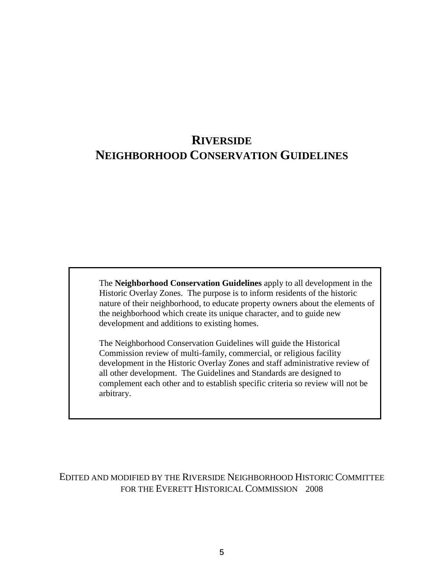# **RIVERSIDE NEIGHBORHOOD CONSERVATION GUIDELINES**

The **Neighborhood Conservation Guidelines** apply to all development in the Historic Overlay Zones. The purpose is to inform residents of the historic nature of their neighborhood, to educate property owners about the elements of the neighborhood which create its unique character, and to guide new development and additions to existing homes.

The Neighborhood Conservation Guidelines will guide the Historical Commission review of multi-family, commercial, or religious facility development in the Historic Overlay Zones and staff administrative review of all other development. The Guidelines and Standards are designed to complement each other and to establish specific criteria so review will not be arbitrary.

EDITED AND MODIFIED BY THE RIVERSIDE NEIGHBORHOOD HISTORIC COMMITTEE FOR THE EVERETT HISTORICAL COMMISSION 2008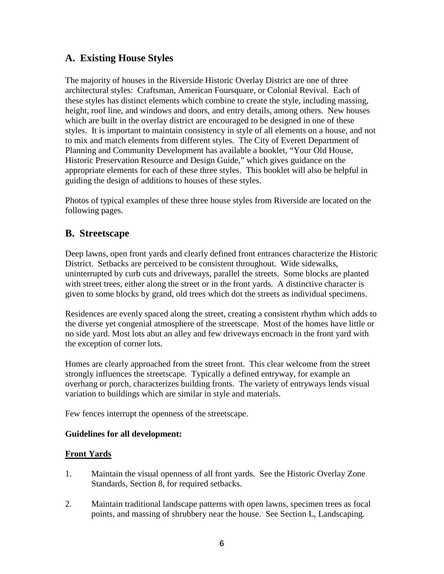# **A. Existing House Styles**

The majority of houses in the Riverside Historic Overlay District are one of three architectural styles: Craftsman, American Foursquare, or Colonial Revival. Each of these styles has distinct elements which combine to create the style, including massing, height, roof line, and windows and doors, and entry details, among others. New houses which are built in the overlay district are encouraged to be designed in one of these styles. It is important to maintain consistency in style of all elements on a house, and not to mix and match elements from different styles. The City of Everett Department of Planning and Community Development has available a booklet, "Your Old House, Historic Preservation Resource and Design Guide," which gives guidance on the appropriate elements for each of these three styles. This booklet will also be helpful in guiding the design of additions to houses of these styles.

Photos of typical examples of these three house styles from Riverside are located on the following pages.

# **B. Streetscape**

Deep lawns, open front yards and clearly defined front entrances characterize the Historic District. Setbacks are perceived to be consistent throughout. Wide sidewalks, uninterrupted by curb cuts and driveways, parallel the streets. Some blocks are planted with street trees, either along the street or in the front yards. A distinctive character is given to some blocks by grand, old trees which dot the streets as individual specimens.

Residences are evenly spaced along the street, creating a consistent rhythm which adds to the diverse yet congenial atmosphere of the streetscape. Most of the homes have little or no side yard. Most lots abut an alley and few driveways encroach in the front yard with the exception of corner lots.

Homes are clearly approached from the street front. This clear welcome from the street strongly influences the streetscape. Typically a defined entryway, for example an overhang or porch, characterizes building fronts. The variety of entryways lends visual variation to buildings which are similar in style and materials.

Few fences interrupt the openness of the streetscape.

#### **Guidelines for all development:**

# **Front Yards**

- 1. Maintain the visual openness of all front yards. See the Historic Overlay Zone Standards, Section 8, for required setbacks.
- 2. Maintain traditional landscape patterns with open lawns, specimen trees as focal points, and massing of shrubbery near the house. See Section L, Landscaping.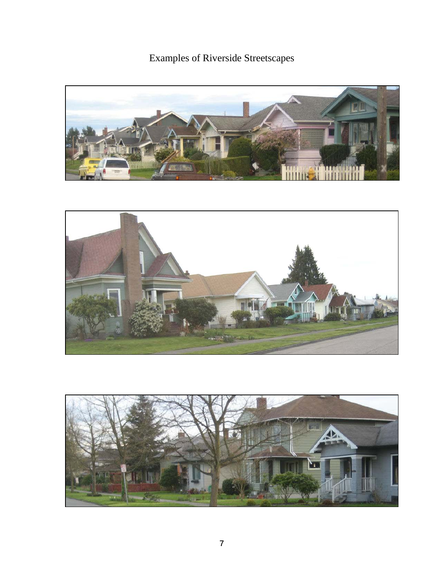Examples of Riverside Streetscapes





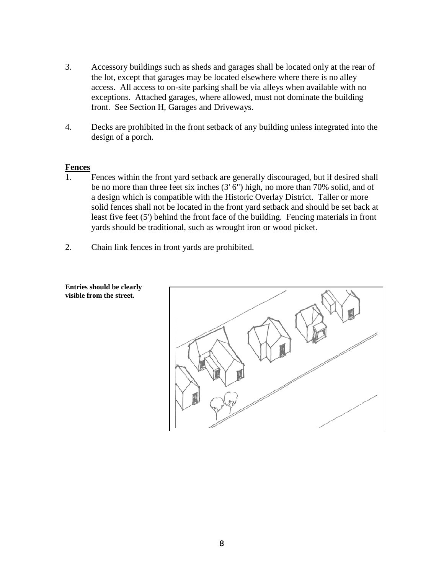- 3. Accessory buildings such as sheds and garages shall be located only at the rear of the lot, except that garages may be located elsewhere where there is no alley access. All access to on-site parking shall be via alleys when available with no exceptions. Attached garages, where allowed, must not dominate the building front. See Section H, Garages and Driveways.
- 4. Decks are prohibited in the front setback of any building unless integrated into the design of a porch.

#### **Fences**

- 1. Fences within the front yard setback are generally discouraged, but if desired shall be no more than three feet six inches (3' 6") high, no more than 70% solid, and of a design which is compatible with the Historic Overlay District. Taller or more solid fences shall not be located in the front yard setback and should be set back at least five feet (5') behind the front face of the building. Fencing materials in front yards should be traditional, such as wrought iron or wood picket.
- 2. Chain link fences in front yards are prohibited.



**Entries should be clearly visible from the street.**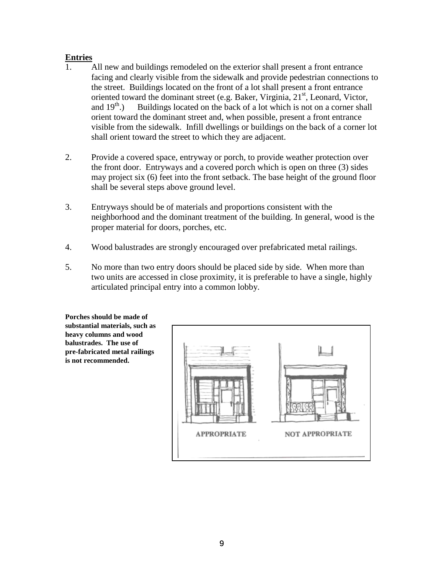# **Entries**

- 1. All new and buildings remodeled on the exterior shall present a front entrance facing and clearly visible from the sidewalk and provide pedestrian connections to the street. Buildings located on the front of a lot shall present a front entrance oriented toward the dominant street (e.g. Baker, Virginia,  $21<sup>st</sup>$ , Leonard, Victor, and  $19<sup>th</sup>$ .) Buildings located on the back of a lot which is not on a corner shall orient toward the dominant street and, when possible, present a front entrance visible from the sidewalk. Infill dwellings or buildings on the back of a corner lot shall orient toward the street to which they are adjacent.
- 2. Provide a covered space, entryway or porch, to provide weather protection over the front door. Entryways and a covered porch which is open on three (3) sides may project six (6) feet into the front setback. The base height of the ground floor shall be several steps above ground level.
- 3. Entryways should be of materials and proportions consistent with the neighborhood and the dominant treatment of the building. In general, wood is the proper material for doors, porches, etc.
- 4. Wood balustrades are strongly encouraged over prefabricated metal railings.
- 5. No more than two entry doors should be placed side by side. When more than two units are accessed in close proximity, it is preferable to have a single, highly articulated principal entry into a common lobby.

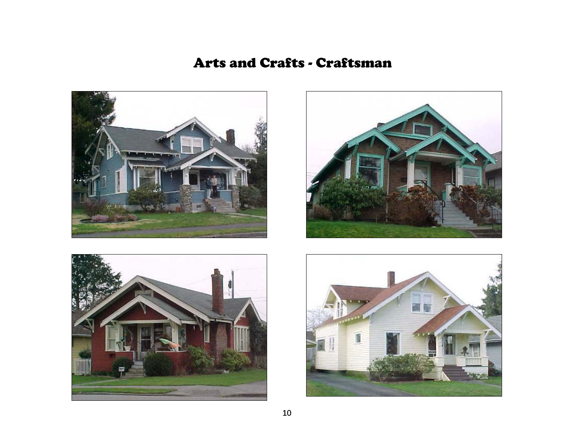# Arts and Crafts - Craftsman







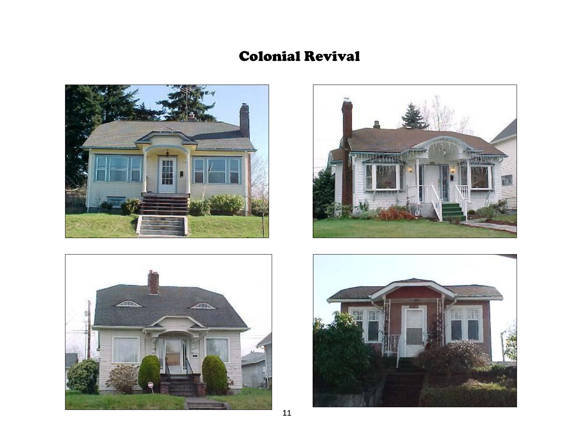# Colonial Revival







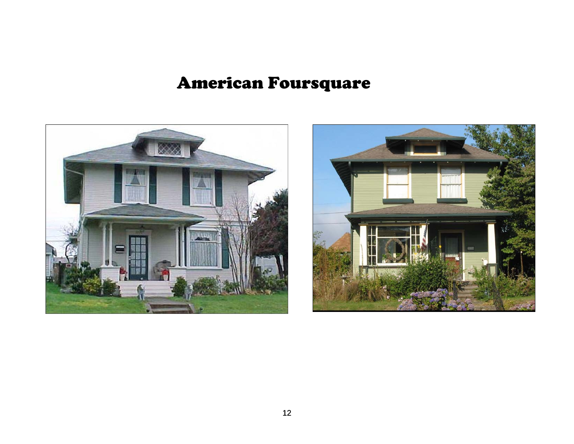# American Foursquare



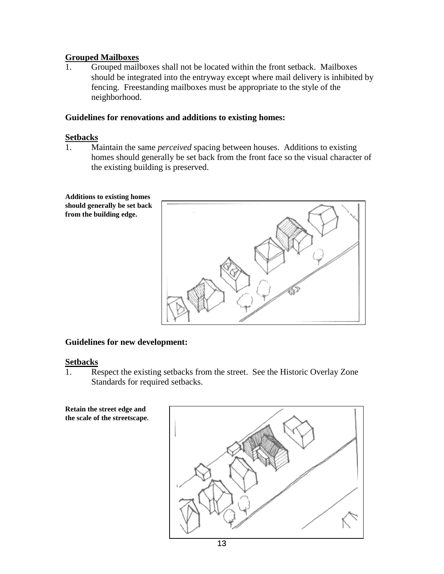## **Grouped Mailboxes**

1. Grouped mailboxes shall not be located within the front setback. Mailboxes should be integrated into the entryway except where mail delivery is inhibited by fencing. Freestanding mailboxes must be appropriate to the style of the neighborhood.

### **Guidelines for renovations and additions to existing homes:**

#### **Setbacks**

1. Maintain the same *perceived* spacing between houses. Additions to existing homes should generally be set back from the front face so the visual character of the existing building is preserved.



# **Guidelines for new development:**

#### **Setbacks**

1. Respect the existing setbacks from the street. See the Historic Overlay Zone Standards for required setbacks.

**Retain the street edge and the scale of the streetscape.**

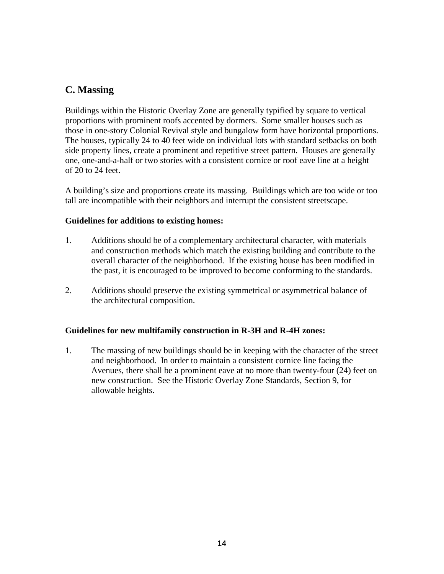# **C. Massing**

Buildings within the Historic Overlay Zone are generally typified by square to vertical proportions with prominent roofs accented by dormers. Some smaller houses such as those in one-story Colonial Revival style and bungalow form have horizontal proportions. The houses, typically 24 to 40 feet wide on individual lots with standard setbacks on both side property lines, create a prominent and repetitive street pattern. Houses are generally one, one-and-a-half or two stories with a consistent cornice or roof eave line at a height of 20 to 24 feet.

A building's size and proportions create its massing. Buildings which are too wide or too tall are incompatible with their neighbors and interrupt the consistent streetscape.

## **Guidelines for additions to existing homes:**

- 1. Additions should be of a complementary architectural character, with materials and construction methods which match the existing building and contribute to the overall character of the neighborhood. If the existing house has been modified in the past, it is encouraged to be improved to become conforming to the standards.
- 2. Additions should preserve the existing symmetrical or asymmetrical balance of the architectural composition.

# **Guidelines for new multifamily construction in R-3H and R-4H zones:**

1. The massing of new buildings should be in keeping with the character of the street and neighborhood. In order to maintain a consistent cornice line facing the Avenues, there shall be a prominent eave at no more than twenty-four (24) feet on new construction. See the Historic Overlay Zone Standards, Section 9, for allowable heights.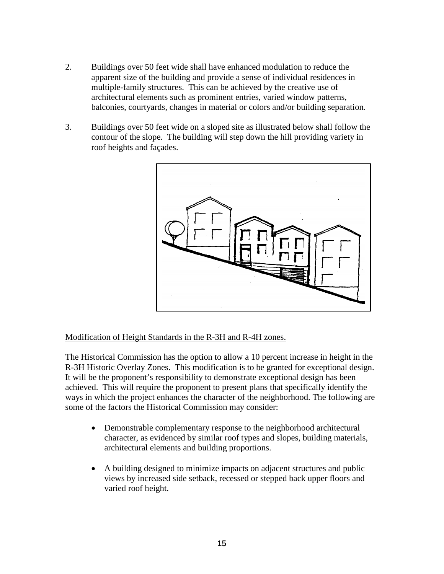- 2. Buildings over 50 feet wide shall have enhanced modulation to reduce the apparent size of the building and provide a sense of individual residences in multiple-family structures. This can be achieved by the creative use of architectural elements such as prominent entries, varied window patterns, balconies, courtyards, changes in material or colors and/or building separation.
- 3. Buildings over 50 feet wide on a sloped site as illustrated below shall follow the contour of the slope. The building will step down the hill providing variety in roof heights and façades.



Modification of Height Standards in the R-3H and R-4H zones.

The Historical Commission has the option to allow a 10 percent increase in height in the R-3H Historic Overlay Zones. This modification is to be granted for exceptional design. It will be the proponent's responsibility to demonstrate exceptional design has been achieved. This will require the proponent to present plans that specifically identify the ways in which the project enhances the character of the neighborhood. The following are some of the factors the Historical Commission may consider:

- Demonstrable complementary response to the neighborhood architectural character, as evidenced by similar roof types and slopes, building materials, architectural elements and building proportions.
- A building designed to minimize impacts on adjacent structures and public views by increased side setback, recessed or stepped back upper floors and varied roof height.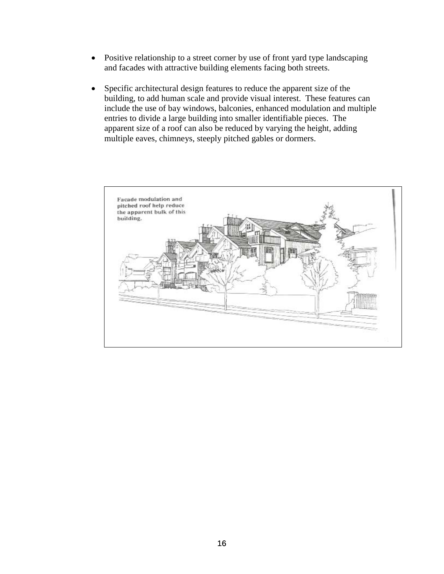- Positive relationship to a street corner by use of front yard type landscaping and facades with attractive building elements facing both streets.
- Specific architectural design features to reduce the apparent size of the building, to add human scale and provide visual interest. These features can include the use of bay windows, balconies, enhanced modulation and multiple entries to divide a large building into smaller identifiable pieces. The apparent size of a roof can also be reduced by varying the height, adding multiple eaves, chimneys, steeply pitched gables or dormers.

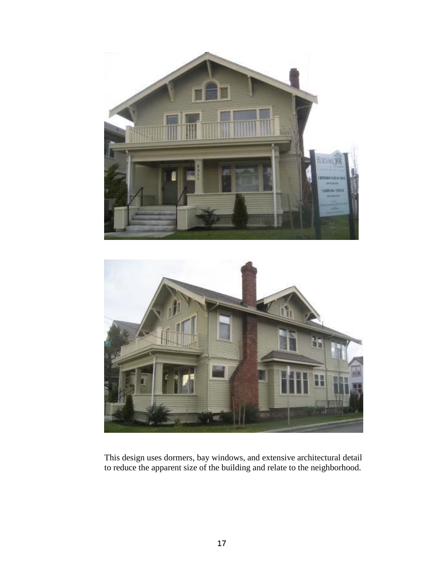



This design uses dormers, bay windows, and extensive architectural detail to reduce the apparent size of the building and relate to the neighborhood.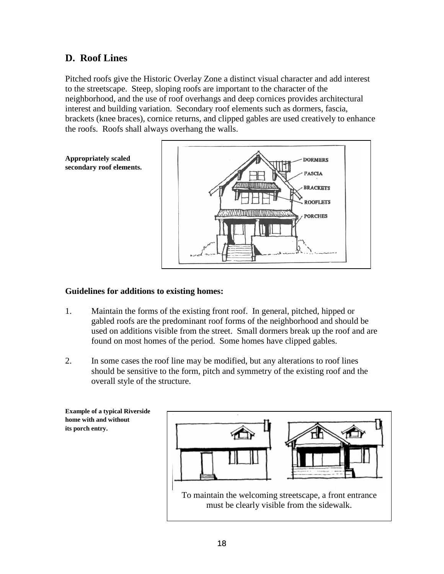# **D. Roof Lines**

Pitched roofs give the Historic Overlay Zone a distinct visual character and add interest to the streetscape. Steep, sloping roofs are important to the character of the neighborhood, and the use of roof overhangs and deep cornices provides architectural interest and building variation. Secondary roof elements such as dormers, fascia, brackets (knee braces), cornice returns, and clipped gables are used creatively to enhance the roofs. Roofs shall always overhang the walls.

> **DORMERS FASCIA**

**BRACKETS ROOFLETS PORCHES** 



### **Guidelines for additions to existing homes:**

- 1. Maintain the forms of the existing front roof. In general, pitched, hipped or gabled roofs are the predominant roof forms of the neighborhood and should be used on additions visible from the street. Small dormers break up the roof and are found on most homes of the period. Some homes have clipped gables.
- 2. In some cases the roof line may be modified, but any alterations to roof lines should be sensitive to the form, pitch and symmetry of the existing roof and the overall style of the structure.

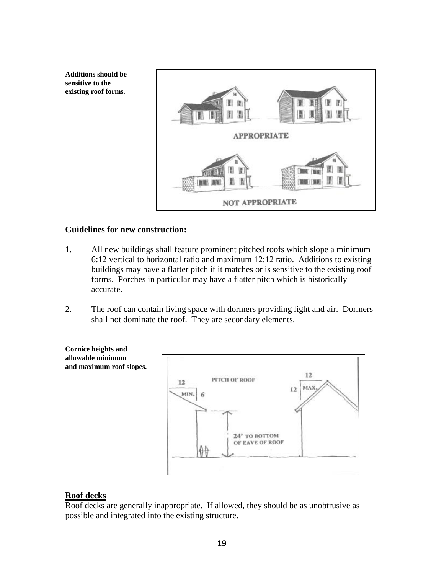**Additions should be sensitive to the existing roof forms.**



#### **Guidelines for new construction:**

- 1. All new buildings shall feature prominent pitched roofs which slope a minimum 6:12 vertical to horizontal ratio and maximum 12:12 ratio. Additions to existing buildings may have a flatter pitch if it matches or is sensitive to the existing roof forms. Porches in particular may have a flatter pitch which is historically accurate.
- 2. The roof can contain living space with dormers providing light and air. Dormers shall not dominate the roof. They are secondary elements.



#### **Roof decks**

Roof decks are generally inappropriate. If allowed, they should be as unobtrusive as possible and integrated into the existing structure.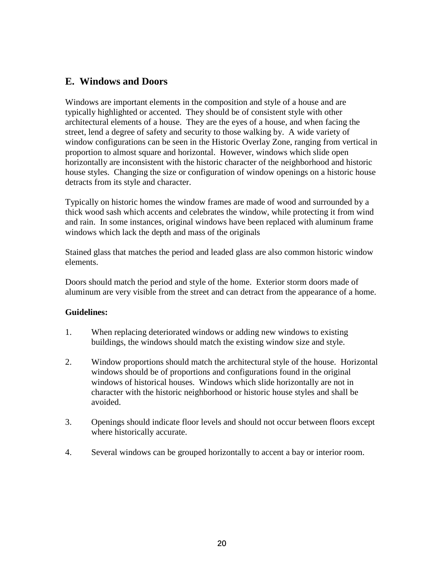# **E. Windows and Doors**

Windows are important elements in the composition and style of a house and are typically highlighted or accented. They should be of consistent style with other architectural elements of a house. They are the eyes of a house, and when facing the street, lend a degree of safety and security to those walking by. A wide variety of window configurations can be seen in the Historic Overlay Zone, ranging from vertical in proportion to almost square and horizontal. However, windows which slide open horizontally are inconsistent with the historic character of the neighborhood and historic house styles. Changing the size or configuration of window openings on a historic house detracts from its style and character.

Typically on historic homes the window frames are made of wood and surrounded by a thick wood sash which accents and celebrates the window, while protecting it from wind and rain. In some instances, original windows have been replaced with aluminum frame windows which lack the depth and mass of the originals

Stained glass that matches the period and leaded glass are also common historic window elements.

Doors should match the period and style of the home. Exterior storm doors made of aluminum are very visible from the street and can detract from the appearance of a home.

#### **Guidelines:**

- 1. When replacing deteriorated windows or adding new windows to existing buildings, the windows should match the existing window size and style.
- 2. Window proportions should match the architectural style of the house. Horizontal windows should be of proportions and configurations found in the original windows of historical houses. Windows which slide horizontally are not in character with the historic neighborhood or historic house styles and shall be avoided.
- 3. Openings should indicate floor levels and should not occur between floors except where historically accurate.
- 4. Several windows can be grouped horizontally to accent a bay or interior room.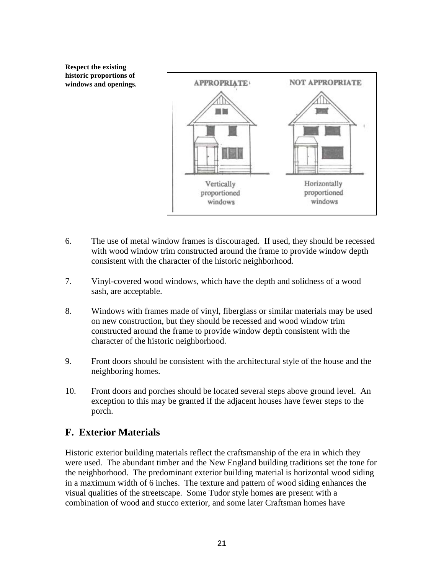**Respect the existing historic proportions of windows and openings.** 



- 6. The use of metal window frames is discouraged. If used, they should be recessed with wood window trim constructed around the frame to provide window depth consistent with the character of the historic neighborhood.
- 7. Vinyl-covered wood windows, which have the depth and solidness of a wood sash, are acceptable.
- 8. Windows with frames made of vinyl, fiberglass or similar materials may be used on new construction, but they should be recessed and wood window trim constructed around the frame to provide window depth consistent with the character of the historic neighborhood.
- 9. Front doors should be consistent with the architectural style of the house and the neighboring homes.
- 10. Front doors and porches should be located several steps above ground level. An exception to this may be granted if the adjacent houses have fewer steps to the porch.

# **F. Exterior Materials**

Historic exterior building materials reflect the craftsmanship of the era in which they were used. The abundant timber and the New England building traditions set the tone for the neighborhood. The predominant exterior building material is horizontal wood siding in a maximum width of 6 inches. The texture and pattern of wood siding enhances the visual qualities of the streetscape. Some Tudor style homes are present with a combination of wood and stucco exterior, and some later Craftsman homes have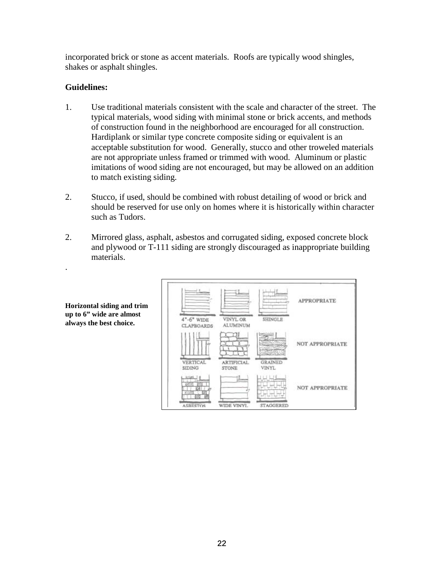incorporated brick or stone as accent materials. Roofs are typically wood shingles, shakes or asphalt shingles.

### **Guidelines:**

- 1. Use traditional materials consistent with the scale and character of the street. The typical materials, wood siding with minimal stone or brick accents, and methods of construction found in the neighborhood are encouraged for all construction. Hardiplank or similar type concrete composite siding or equivalent is an acceptable substitution for wood. Generally, stucco and other troweled materials are not appropriate unless framed or trimmed with wood. Aluminum or plastic imitations of wood siding are not encouraged, but may be allowed on an addition to match existing siding.
- 2. Stucco, if used, should be combined with robust detailing of wood or brick and should be reserved for use only on homes where it is historically within character such as Tudors.
- 2. Mirrored glass, asphalt, asbestos and corrugated siding, exposed concrete block and plywood or T-111 siding are strongly discouraged as inappropriate building materials.

| $4 - 6$ " WIDE                       | VINYL OR                             | SHINGLE                          | <b>APPROPRIATE</b> |
|--------------------------------------|--------------------------------------|----------------------------------|--------------------|
| <b>CLAPBOARDS</b><br><b>VERTICAL</b> | <b>ALUMINUM</b><br><b>ARTIFICIAL</b> | <b>GRAINED</b>                   | NOT APPROPRIATE    |
| <b>SIDING</b><br><b>ASRESTOS</b>     | STONE<br>WIDE VINYL                  | <b>VINYL</b><br><b>STAGGERED</b> | NOT APPROPRIATE    |

**Horizontal siding and trim up to 6" wide are almost always the best choice.**

.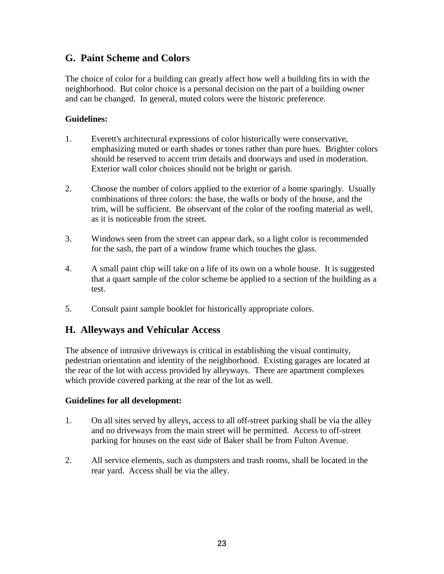# **G. Paint Scheme and Colors**

The choice of color for a building can greatly affect how well a building fits in with the neighborhood. But color choice is a personal decision on the part of a building owner and can be changed. In general, muted colors were the historic preference.

# **Guidelines:**

- 1. Everett's architectural expressions of color historically were conservative, emphasizing muted or earth shades or tones rather than pure hues. Brighter colors should be reserved to accent trim details and doorways and used in moderation. Exterior wall color choices should not be bright or garish.
- 2. Choose the number of colors applied to the exterior of a home sparingly. Usually combinations of three colors: the base, the walls or body of the house, and the trim, will be sufficient. Be observant of the color of the roofing material as well, as it is noticeable from the street.
- 3. Windows seen from the street can appear dark, so a light color is recommended for the sash, the part of a window frame which touches the glass.
- 4. A small paint chip will take on a life of its own on a whole house. It is suggested that a quart sample of the color scheme be applied to a section of the building as a test.
- 5. Consult paint sample booklet for historically appropriate colors.

# **H. Alleyways and Vehicular Access**

The absence of intrusive driveways is critical in establishing the visual continuity, pedestrian orientation and identity of the neighborhood. Existing garages are located at the rear of the lot with access provided by alleyways. There are apartment complexes which provide covered parking at the rear of the lot as well.

#### **Guidelines for all development:**

- 1. On all sites served by alleys, access to all off-street parking shall be via the alley and no driveways from the main street will be permitted. Access to off-street parking for houses on the east side of Baker shall be from Fulton Avenue.
- 2. All service elements, such as dumpsters and trash rooms, shall be located in the rear yard. Access shall be via the alley.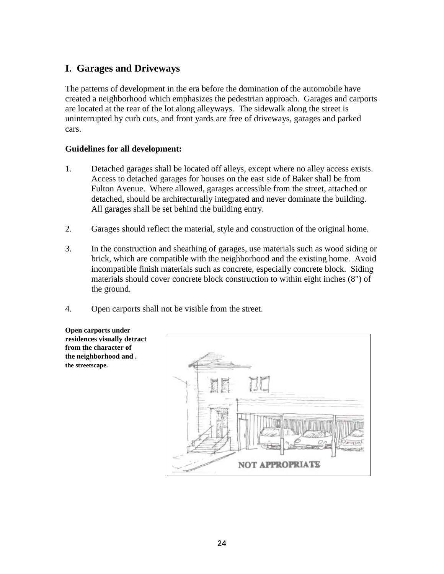# **I. Garages and Driveways**

The patterns of development in the era before the domination of the automobile have created a neighborhood which emphasizes the pedestrian approach. Garages and carports are located at the rear of the lot along alleyways. The sidewalk along the street is uninterrupted by curb cuts, and front yards are free of driveways, garages and parked cars.

## **Guidelines for all development:**

- 1. Detached garages shall be located off alleys, except where no alley access exists. Access to detached garages for houses on the east side of Baker shall be from Fulton Avenue. Where allowed, garages accessible from the street, attached or detached, should be architecturally integrated and never dominate the building. All garages shall be set behind the building entry.
- 2. Garages should reflect the material, style and construction of the original home.
- 3. In the construction and sheathing of garages, use materials such as wood siding or brick, which are compatible with the neighborhood and the existing home. Avoid incompatible finish materials such as concrete, especially concrete block. Siding materials should cover concrete block construction to within eight inches (8") of the ground.
- 4. Open carports shall not be visible from the street.

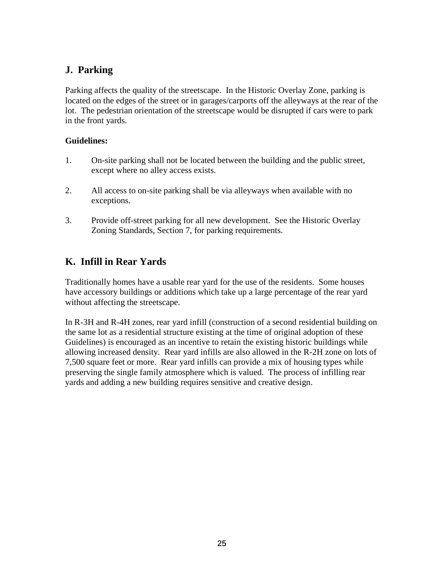# **J. Parking**

Parking affects the quality of the streetscape. In the Historic Overlay Zone, parking is located on the edges of the street or in garages/carports off the alleyways at the rear of the lot. The pedestrian orientation of the streetscape would be disrupted if cars were to park in the front yards.

## **Guidelines:**

- 1. On-site parking shall not be located between the building and the public street, except where no alley access exists.
- 2. All access to on-site parking shall be via alleyways when available with no exceptions.
- 3. Provide off-street parking for all new development. See the Historic Overlay Zoning Standards, Section 7, for parking requirements.

# **K. Infill in Rear Yards**

Traditionally homes have a usable rear yard for the use of the residents. Some houses have accessory buildings or additions which take up a large percentage of the rear yard without affecting the streetscape.

In R-3H and R-4H zones, rear yard infill (construction of a second residential building on the same lot as a residential structure existing at the time of original adoption of these Guidelines) is encouraged as an incentive to retain the existing historic buildings while allowing increased density. Rear yard infills are also allowed in the R-2H zone on lots of 7,500 square feet or more. Rear yard infills can provide a mix of housing types while preserving the single family atmosphere which is valued. The process of infilling rear yards and adding a new building requires sensitive and creative design.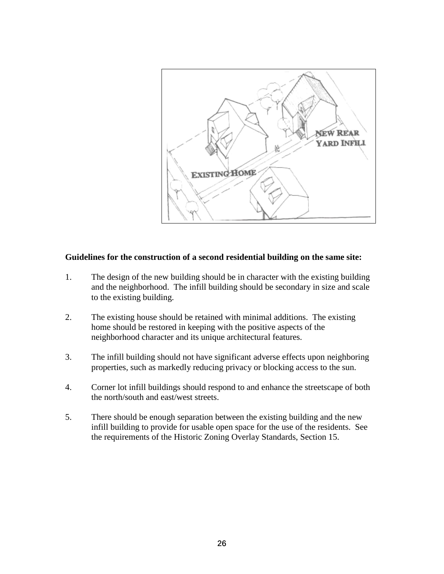

## **Guidelines for the construction of a second residential building on the same site:**

- 1. The design of the new building should be in character with the existing building and the neighborhood. The infill building should be secondary in size and scale to the existing building.
- 2. The existing house should be retained with minimal additions. The existing home should be restored in keeping with the positive aspects of the neighborhood character and its unique architectural features.
- 3. The infill building should not have significant adverse effects upon neighboring properties, such as markedly reducing privacy or blocking access to the sun.
- 4. Corner lot infill buildings should respond to and enhance the streetscape of both the north/south and east/west streets.
- 5. There should be enough separation between the existing building and the new infill building to provide for usable open space for the use of the residents. See the requirements of the Historic Zoning Overlay Standards, Section 15.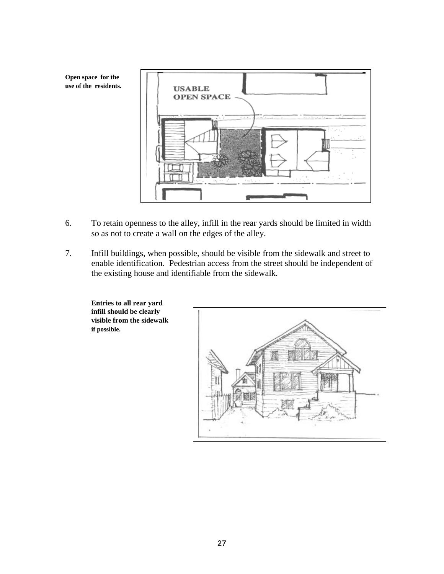**Open space for the use of the residents.**



- 6. To retain openness to the alley, infill in the rear yards should be limited in width so as not to create a wall on the edges of the alley.
- 7. Infill buildings, when possible, should be visible from the sidewalk and street to enable identification. Pedestrian access from the street should be independent of the existing house and identifiable from the sidewalk.

**Entries to all rear yard infill should be clearly visible from the sidewalk if possible.**

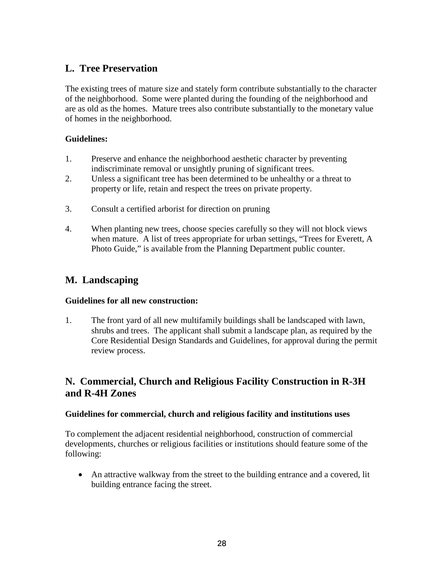# **L. Tree Preservation**

The existing trees of mature size and stately form contribute substantially to the character of the neighborhood. Some were planted during the founding of the neighborhood and are as old as the homes. Mature trees also contribute substantially to the monetary value of homes in the neighborhood.

# **Guidelines:**

- 1. Preserve and enhance the neighborhood aesthetic character by preventing indiscriminate removal or unsightly pruning of significant trees.
- 2. Unless a significant tree has been determined to be unhealthy or a threat to property or life, retain and respect the trees on private property.
- 3. Consult a certified arborist for direction on pruning
- 4. When planting new trees, choose species carefully so they will not block views when mature. A list of trees appropriate for urban settings, "Trees for Everett, A Photo Guide," is available from the Planning Department public counter.

# **M. Landscaping**

# **Guidelines for all new construction:**

1. The front yard of all new multifamily buildings shall be landscaped with lawn, shrubs and trees. The applicant shall submit a landscape plan, as required by the Core Residential Design Standards and Guidelines, for approval during the permit review process.

# **N. Commercial, Church and Religious Facility Construction in R-3H and R-4H Zones**

# **Guidelines for commercial, church and religious facility and institutions uses**

To complement the adjacent residential neighborhood, construction of commercial developments, churches or religious facilities or institutions should feature some of the following:

• An attractive walkway from the street to the building entrance and a covered, lit building entrance facing the street.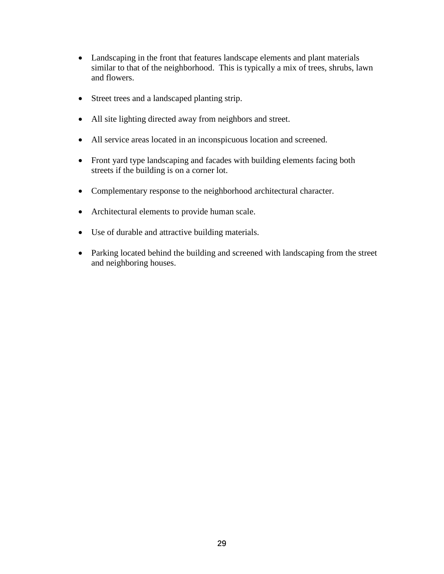- Landscaping in the front that features landscape elements and plant materials similar to that of the neighborhood. This is typically a mix of trees, shrubs, lawn and flowers.
- Street trees and a landscaped planting strip.
- All site lighting directed away from neighbors and street.
- All service areas located in an inconspicuous location and screened.
- Front yard type landscaping and facades with building elements facing both streets if the building is on a corner lot.
- Complementary response to the neighborhood architectural character.
- Architectural elements to provide human scale.
- Use of durable and attractive building materials.
- Parking located behind the building and screened with landscaping from the street and neighboring houses.